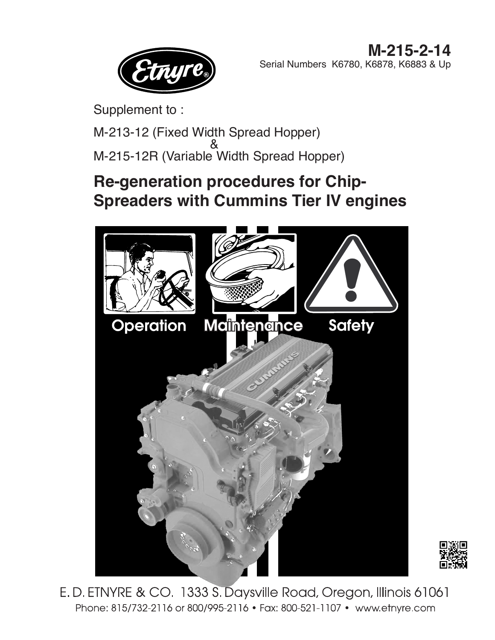

Supplement to :

M-213-12 (Fixed Width Spread Hopper) 8 M-215-12R (Variable Width Spread Hopper)

# **Re-generation procedures for Chip-Spreaders with Cummins Tier IV engines**





E.D. ETNYRE & CO. 1333 S. Daysville Road, Oregon, Illinois 61061 Phone: 815/732-2116 or 800/995-2116 • Fax: 800-521-1107 • www.etnyre.com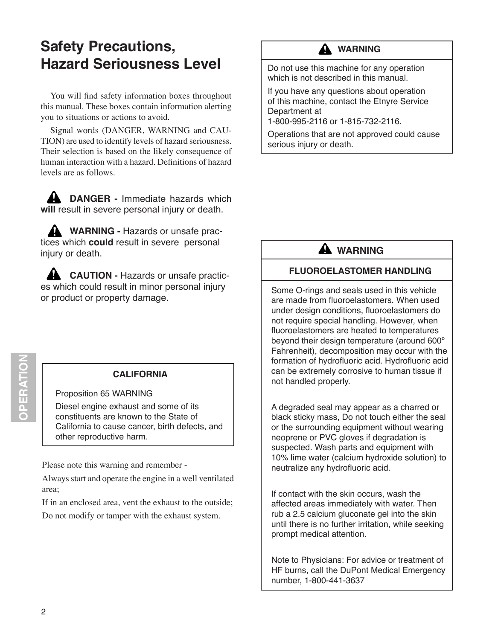## **Safety Precautions, Hazard Seriousness Level**

You will find safety information boxes throughout this manual. These boxes contain information alerting you to situations or actions to avoid.

Signal words (DANGER, WARNING and CAU-TION) are used to identify levels of hazard seriousness. Their selection is based on the likely consequence of human interaction with a hazard. Definitions of hazard levels are as follows.

**A DANGER - Immediate hazards which will** result in severe personal injury or death.

**A** WARNING - Hazards or unsafe practices which **could** result in severe personal injury or death.

**CAUTION - Hazards or unsafe practic**es which could result in minor personal injury or product or property damage.

**OPERATION** 

#### **CALIFORNIA**

Proposition 65 WARNING

Diesel engine exhaust and some of its constituents are known to the State of California to cause cancer, birth defects, and other reproductive harm.

Please note this warning and remember -

Always start and operate the engine in a well ventilated area;

If in an enclosed area, vent the exhaust to the outside; Do not modify or tamper with the exhaust system.

#### **A** WARNING

Do not use this machine for any operation which is not described in this manual.

If you have any questions about operation of this machine, contact the Etnyre Service Department at

1-800-995-2116 or 1-815-732-2116.

Operations that are not approved could cause serious injury or death.

## **A** WARNING

#### **Fluoroelastomer Handling**

Some O-rings and seals used in this vehicle are made from fluoroelastomers. When used under design conditions, fluoroelastomers do not require special handling. However, when fluoroelastomers are heated to temperatures beyond their design temperature (around 600º Fahrenheit), decomposition may occur with the formation of hydrofluoric acid. Hydrofluoric acid can be extremely corrosive to human tissue if not handled properly.

A degraded seal may appear as a charred or black sticky mass, Do not touch either the seal or the surrounding equipment without wearing neoprene or PVC gloves if degradation is suspected. Wash parts and equipment with 10% lime water (calcium hydroxide solution) to neutralize any hydrofluoric acid.

If contact with the skin occurs, wash the affected areas immediately with water. Then rub a 2.5 calcium gluconate gel into the skin until there is no further irritation, while seeking prompt medical attention.

Note to Physicians: For advice or treatment of HF burns, call the DuPont Medical Emergency number, 1-800-441-3637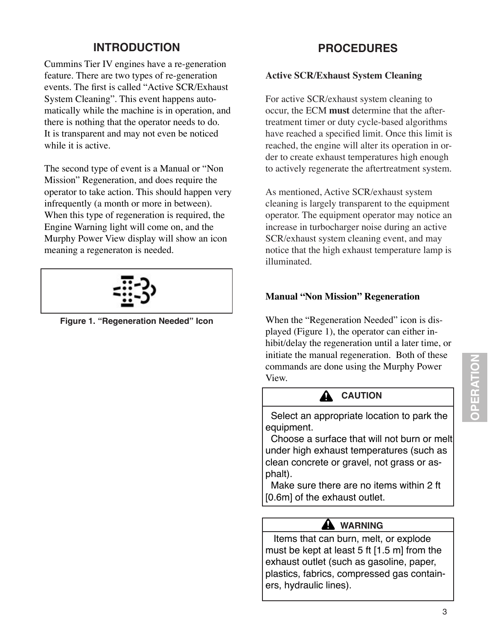## **INTRODUCTION**

Cummins Tier IV engines have a re-generation feature. There are two types of re-generation events. The first is called "Active SCR/Exhaust System Cleaning". This event happens automatically while the machine is in operation, and there is nothing that the operator needs to do. It is transparent and may not even be noticed while it is active.

The second type of event is a Manual or "Non Mission" Regeneration, and does require the operator to take action. This should happen very infrequently (a month or more in between). When this type of regeneration is required, the Engine Warning light will come on, and the Murphy Power View display will show an icon meaning a regeneraton is needed.



**Figure 1. "Regeneration Needed" Icon**

## **PROCEDURES**

#### **Active SCR/Exhaust System Cleaning**

For active SCR/exhaust system cleaning to occur, the ECM **must** determine that the aftertreatment timer or duty cycle-based algorithms have reached a specified limit. Once this limit is reached, the engine will alter its operation in order to create exhaust temperatures high enough to actively regenerate the aftertreatment system.

As mentioned, Active SCR/exhaust system cleaning is largely transparent to the equipment operator. The equipment operator may notice an increase in turbocharger noise during an active SCR/exhaust system cleaning event, and may notice that the high exhaust temperature lamp is illuminated.

#### **Manual "Non Mission" Regeneration**

When the "Regeneration Needed" icon is displayed (Figure 1), the operator can either inhibit/delay the regeneration until a later time, or initiate the manual regeneration. Both of these commands are done using the Murphy Power View.

### **A** CAUTION

 Select an appropriate location to park the equipment.

 Choose a surface that will not burn or melt under high exhaust temperatures (such as clean concrete or gravel, not grass or asphalt).

 Make sure there are no items within 2 ft [0.6m] of the exhaust outlet.

### A WARNING

 Items that can burn, melt, or explode must be kept at least 5 ft [1.5 m] from the exhaust outlet (such as gasoline, paper, plastics, fabrics, compressed gas containers, hydraulic lines).